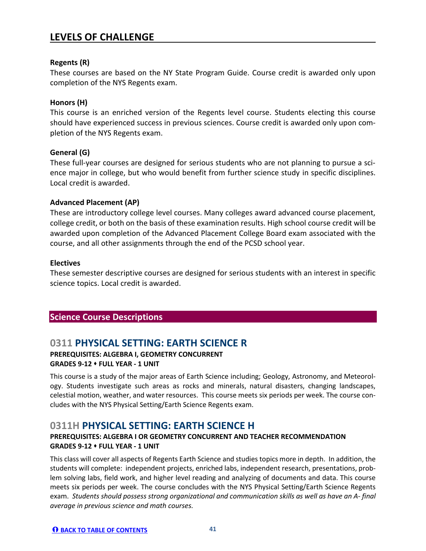### **0311 PHYSICAL SETTING: EARTH SCIENCE R PREREQUISITES: ALGEBRA I, GEOMETRY CONCURRENT GRADES 9-12 FULL YEAR - 1 UNIT**

This course is a study of the major areas of Earth Science including; Geology, Astronomy, and Meteorology. Students investigate such areas as rocks and minerals, natural disasters, changing landscapes, celestial motion, weather, and water resources. This course meets six periods per week. The course concludes with the NYS Physical Setting/Earth Science Regents exam.

### **0311H PHYSICAL SETTING: EARTH SCIENCE H**

#### **PREREQUISITES: ALGEBRA I OR GEOMETRY CONCURRENT AND TEACHER RECOMMENDATION GRADES 9-12 FULL YEAR - 1 UNIT**

This class will cover all aspects of Regents Earth Science and studies topics more in depth. In addition, the students will complete: independent projects, enriched labs, independent research, presentations, problem solving labs, field work, and higher level reading and analyzing of documents and data. This course meets six periods per week. The course concludes with the NYS Physical Setting/Earth Science Regents exam. *Students should possess strong organizational and communication skills as well as have an A- final average in previous science and math courses.*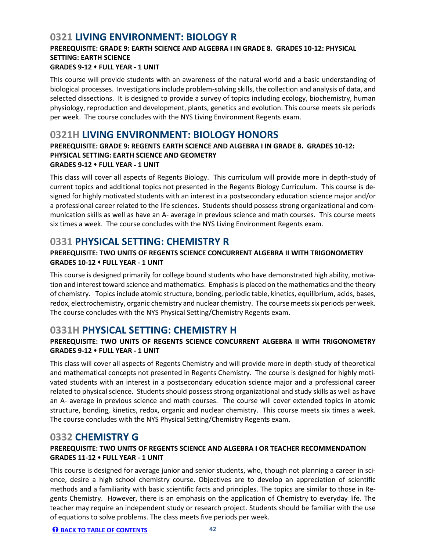## **0321 LIVING ENVIRONMENT: BIOLOGY R**

# **PREREQUISITE: GRADE 9: EARTH SCIENCE AND ALGEBRA I IN GRADE 8. GRADES 10-12: PHYSICAL SETTING: EARTH SCIENCE**

#### **GRADES 9-12 FULL YEAR - 1 UNIT**

This course will provide students with an awareness of the natural world and a basic understanding of biological processes. Investigations include problem-solving skills, the collection and analysis of data, and selected dissections. It is designed to provide a survey of topics including ecology, biochemistry, human physiology, reproduction and development, plants, genetics and evolution. This course meets six periods per week. The course concludes with the NYS Living Environment Regents exam.

### **0321H LIVING ENVIRONMENT: BIOLOGY HONORS**

#### **PREREQUISITE: GRADE 9: REGENTS EARTH SCIENCE AND ALGEBRA I IN GRADE 8. GRADES 10-12: PHYSICAL SETTING: EARTH SCIENCE AND GEOMETRY GRADES 9-12 FULL YEAR - 1 UNIT**

This class will cover all aspects of Regents Biology. This curriculum will provide more in depth-study of current topics and additional topics not presented in the Regents Biology Curriculum. This course is designed for highly motivated students with an interest in a postsecondary education science major and/or a professional career related to the life sciences. Students should possess strong organizational and communication skills as well as have an A- average in previous science and math courses. This course meets six times a week. The course concludes with the NYS Living Environment Regents exam.

## **0331 PHYSICAL SETTING: CHEMISTRY R**

### **PREREQUISITE: TWO UNITS OF REGENTS SCIENCE CONCURRENT ALGEBRA II WITH TRIGONOMETRY GRADES 10-12 FULL YEAR - 1 UNIT**

This course is designed primarily for college bound students who have demonstrated high ability, motivation and interest toward science and mathematics. Emphasis is placed on the mathematics and the theory of chemistry. Topics include atomic structure, bonding, periodic table, kinetics, equilibrium, acids, bases, redox, electrochemistry, organic chemistry and nuclear chemistry. The course meets six periods per week. The course concludes with the NYS Physical Setting/Chemistry Regents exam.

## **0331H PHYSICAL SETTING: CHEMISTRY H**

### **PREREQUISITE: TWO UNITS OF REGENTS SCIENCE CONCURRENT ALGEBRA II WITH TRIGONOMETRY GRADES 9-12 FULL YEAR - 1 UNIT**

This class will cover all aspects of Regents Chemistry and will provide more in depth-study of theoretical and mathematical concepts not presented in Regents Chemistry. The course is designed for highly motivated students with an interest in a postsecondary education science major and a professional career related to physical science. Students should possess strong organizational and study skills as well as have an A- average in previous science and math courses. The course will cover extended topics in atomic structure, bonding, kinetics, redox, organic and nuclear chemistry. This course meets six times a week. The course concludes with the NYS Physical Setting/Chemistry Regents exam.

### **0332 CHEMISTRY G**

### **PREREQUISITE: TWO UNITS OF REGENTS SCIENCE AND ALGEBRA I OR TEACHER RECOMMENDATION GRADES 11-12 FULL YEAR - 1 UNIT**

This course is designed for average junior and senior students, who, though not planning a career in science, desire a high school chemistry course. Objectives are to develop an appreciation of scientific methods and a familiarity with basic scientific facts and principles. The topics are similar to those in Regents Chemistry. However, there is an emphasis on the application of Chemistry to everyday life. The teacher may require an independent study or research project. Students should be familiar with the use of equations to solve problems. The class meets five periods per week.

#### **BACK TO TABLE OF CONTENTS 42**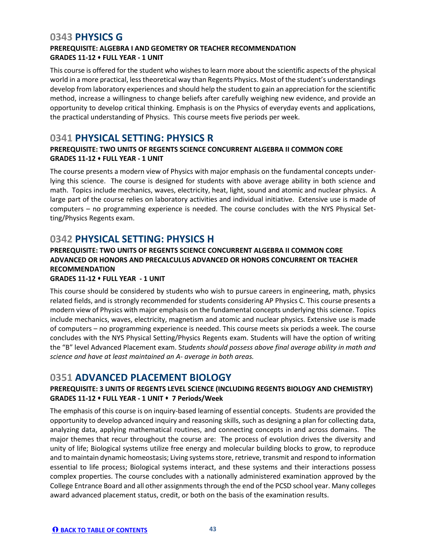## **0343 PHYSICS G**

### **PREREQUISITE: ALGEBRA I AND GEOMETRY OR TEACHER RECOMMENDATION GRADES 11-12 FULL YEAR - 1 UNIT**

This course is offered for the student who wishes to learn more about the scientific aspects of the physical world in a more practical, less theoretical way than Regents Physics. Most of the student's understandings develop from laboratory experiences and should help the student to gain an appreciation for the scientific method, increase a willingness to change beliefs after carefully weighing new evidence, and provide an opportunity to develop critical thinking. Emphasis is on the Physics of everyday events and applications, the practical understanding of Physics. This course meets five periods per week.

### **0341 PHYSICAL SETTING: PHYSICS R**

### **PREREQUISITE: TWO UNITS OF REGENTS SCIENCE CONCURRENT ALGEBRA II COMMON CORE GRADES 11-12 FULL YEAR - 1 UNIT**

The course presents a modern view of Physics with major emphasis on the fundamental concepts underlying this science. The course is designed for students with above average ability in both science and math. Topics include mechanics, waves, electricity, heat, light, sound and atomic and nuclear physics. A large part of the course relies on laboratory activities and individual initiative. Extensive use is made of computers – no programming experience is needed. The course concludes with the NYS Physical Setting/Physics Regents exam.

## **0342 PHYSICAL SETTING: PHYSICS H**

### **PREREQUISITE: TWO UNITS OF REGENTS SCIENCE CONCURRENT ALGEBRA II COMMON CORE ADVANCED OR HONORS AND PRECALCULUS ADVANCED OR HONORS CONCURRENT OR TEACHER RECOMMENDATION**

#### **GRADES 11-12 FULL YEAR - 1 UNIT**

This course should be considered by students who wish to pursue careers in engineering, math, physics related fields, and is strongly recommended for students considering AP Physics C. This course presents a modern view of Physics with major emphasis on the fundamental concepts underlying this science. Topics include mechanics, waves, electricity, magnetism and atomic and nuclear physics. Extensive use is made of computers – no programming experience is needed. This course meets six periods a week. The course concludes with the NYS Physical Setting/Physics Regents exam. Students will have the option of writing the "B" level Advanced Placement exam. S*tudents should possess above final average ability in math and science and have at least maintained an A- average in both areas.*

## **0351 ADVANCED PLACEMENT BIOLOGY**

### **PREREQUISITE: 3 UNITS OF REGENTS LEVEL SCIENCE (INCLUDING REGENTS BIOLOGY AND CHEMISTRY) GRADES 11-12 FULL YEAR - 1 UNIT 7 Periods/Week**

The emphasis of this course is on inquiry-based learning of essential concepts. Students are provided the opportunity to develop advanced inquiry and reasoning skills, such as designing a plan for collecting data, analyzing data, applying mathematical routines, and connecting concepts in and across domains. The major themes that recur throughout the course are: The process of evolution drives the diversity and unity of life; Biological systems utilize free energy and molecular building blocks to grow, to reproduce and to maintain dynamic homeostasis; Living systems store, retrieve, transmit and respond to information essential to life process; Biological systems interact, and these systems and their interactions possess complex properties. The course concludes with a nationally administered examination approved by the College Entrance Board and all other assignments through the end of the PCSD school year. Many colleges award advanced placement status, credit, or both on the basis of the examination results.